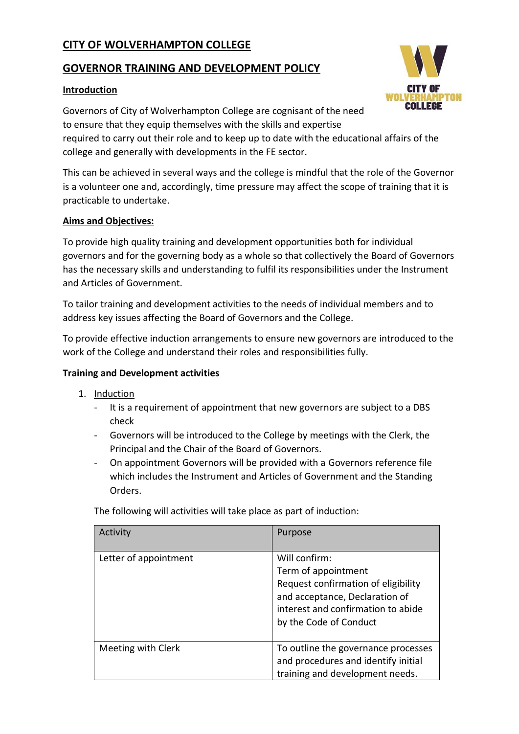# **CITY OF WOLVERHAMPTON COLLEGE**

## **GOVERNOR TRAINING AND DEVELOPMENT POLICY**

## **Introduction**

Governors of City of Wolverhampton College are cognisant of the need to ensure that they equip themselves with the skills and expertise required to carry out their role and to keep up to date with the educational affairs of the college and generally with developments in the FE sector.

This can be achieved in several ways and the college is mindful that the role of the Governor is a volunteer one and, accordingly, time pressure may affect the scope of training that it is practicable to undertake.

#### **Aims and Objectives:**

To provide high quality training and development opportunities both for individual governors and for the governing body as a whole so that collectively the Board of Governors has the necessary skills and understanding to fulfil its responsibilities under the Instrument and Articles of Government.

To tailor training and development activities to the needs of individual members and to address key issues affecting the Board of Governors and the College.

To provide effective induction arrangements to ensure new governors are introduced to the work of the College and understand their roles and responsibilities fully.

## **Training and Development activities**

- 1. Induction
	- It is a requirement of appointment that new governors are subject to a DBS check
	- Governors will be introduced to the College by meetings with the Clerk, the Principal and the Chair of the Board of Governors.
	- On appointment Governors will be provided with a Governors reference file which includes the Instrument and Articles of Government and the Standing Orders.

| The following will activities will take place as part of induction: |         |  |
|---------------------------------------------------------------------|---------|--|
| Activity                                                            | Purpose |  |

| Activity              | Purpose                                                                                                                                                                       |
|-----------------------|-------------------------------------------------------------------------------------------------------------------------------------------------------------------------------|
| Letter of appointment | Will confirm:<br>Term of appointment<br>Request confirmation of eligibility<br>and acceptance, Declaration of<br>interest and confirmation to abide<br>by the Code of Conduct |
| Meeting with Clerk    | To outline the governance processes<br>and procedures and identify initial<br>training and development needs.                                                                 |